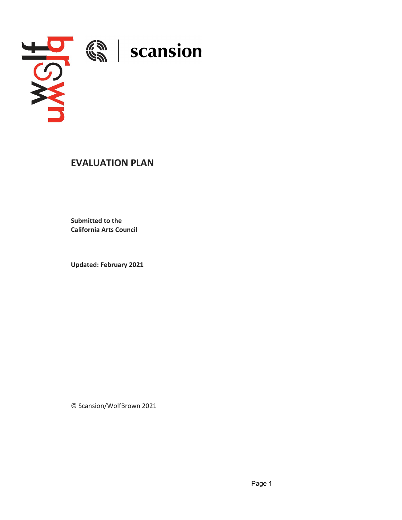

# **EVALUATION PLAN**

**Submitted to the California Arts Council**

**Updated: February 2021**

© Scansion/WolfBrown 2021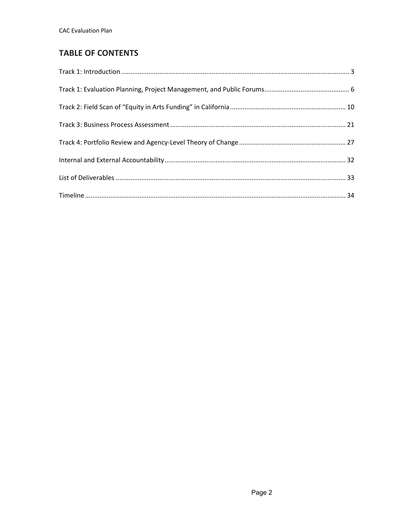# **TABLE OF CONTENTS**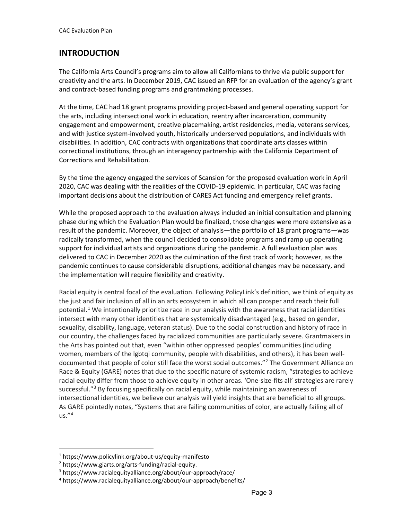## **INTRODUCTION**

The California Arts Council's programs aim to allow all Californians to thrive via public support for creativity and the arts. In December 2019, CAC issued an RFP for an evaluation of the agency's grant and contract-based funding programs and grantmaking processes.

At the time, CAC had 18 grant programs providing project-based and general operating support for the arts, including intersectional work in education, reentry after incarceration, community engagement and empowerment, creative placemaking, artist residencies, media, veterans services, and with justice system-involved youth, historically underserved populations, and individuals with disabilities. In addition, CAC contracts with organizations that coordinate arts classes within correctional institutions, through an interagency partnership with the California Department of Corrections and Rehabilitation.

By the time the agency engaged the services of Scansion for the proposed evaluation work in April 2020, CAC was dealing with the realities of the COVID-19 epidemic. In particular, CAC was facing important decisions about the distribution of CARES Act funding and emergency relief grants.

While the proposed approach to the evaluation always included an initial consultation and planning phase during which the Evaluation Plan would be finalized, those changes were more extensive as a result of the pandemic. Moreover, the object of analysis—the portfolio of 18 grant programs—was radically transformed, when the council decided to consolidate programs and ramp up operating support for individual artists and organizations during the pandemic. A full evaluation plan was delivered to CAC in December 2020 as the culmination of the first track of work; however, as the pandemic continues to cause considerable disruptions, additional changes may be necessary, and the implementation will require flexibility and creativity.

Racial equity is central focal of the evaluation. Following PolicyLink's definition, we think of equity as the just and fair inclusion of all in an arts ecosystem in which all can prosper and reach their full potential.<sup>[1](#page-2-0)</sup> We intentionally prioritize race in our analysis with the awareness that racial identities intersect with many other identities that are systemically disadvantaged (e.g., based on gender, sexuality, disability, language, veteran status). Due to the social construction and history of race in our country, the challenges faced by racialized communities are particularly severe. Grantmakers in the Arts has pointed out that, even "within other oppressed peoples' communities (including women, members of the lgbtqi community, people with disabilities, and others), it has been well-documented that people of color still face the worst social outcomes."<sup>[2](#page-2-1)</sup> The Government Alliance on Race & Equity (GARE) notes that due to the specific nature of systemic racism, "strategies to achieve racial equity differ from those to achieve equity in other areas. 'One-size-fits all' strategies are rarely successful."<sup>[3](#page-2-2)</sup> By focusing specifically on racial equity, while maintaining an awareness of intersectional identities, we believe our analysis will yield insights that are beneficial to all groups. As GARE pointedly notes, "Systems that are failing communities of color, are actually failing all of us."[4](#page-2-3)

<span id="page-2-0"></span><sup>1</sup> https://www.policylink.org/about-us/equity-manifesto

<span id="page-2-1"></span><sup>2</sup> https://www.giarts.org/arts-funding/racial-equity.

<span id="page-2-3"></span><span id="page-2-2"></span><sup>3</sup> https://www.racialequityalliance.org/about/our-approach/race/

<sup>4</sup> https://www.racialequityalliance.org/about/our-approach/benefits/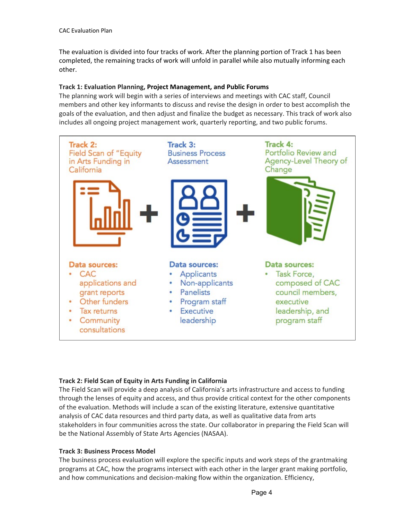The evaluation is divided into four tracks of work. After the planning portion of Track 1 has been completed, the remaining tracks of work will unfold in parallel while also mutually informing each other.

#### **Track 1: Evaluation Planning, Project Management, and Public Forums**

The planning work will begin with a series of interviews and meetings with CAC staff, Council members and other key informants to discuss and revise the design in order to best accomplish the goals of the evaluation, and then adjust and finalize the budget as necessary. This track of work also includes all ongoing project management work, quarterly reporting, and two public forums.



## **Track 2: Field Scan of Equity in Arts Funding in California**

The Field Scan will provide a deep analysis of California's arts infrastructure and access to funding through the lenses of equity and access, and thus provide critical context for the other components of the evaluation. Methods will include a scan of the existing literature, extensive quantitative analysis of CAC data resources and third party data, as well as qualitative data from arts stakeholders in four communities across the state. Our collaborator in preparing the Field Scan will be the National Assembly of State Arts Agencies (NASAA).

## **Track 3: Business Process Model**

The business process evaluation will explore the specific inputs and work steps of the grantmaking programs at CAC, how the programs intersect with each other in the larger grant making portfolio, and how communications and decision-making flow within the organization. Efficiency,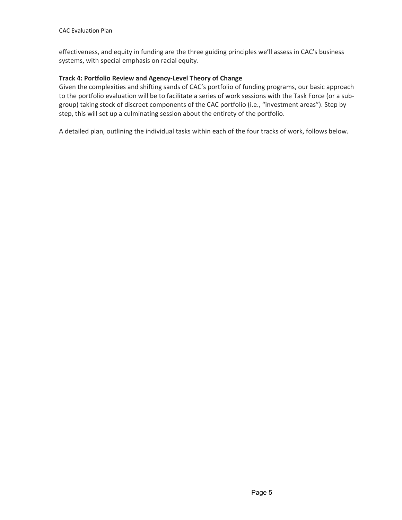effectiveness, and equity in funding are the three guiding principles we'll assess in CAC's business systems, with special emphasis on racial equity.

#### **Track 4: Portfolio Review and Agency-Level Theory of Change**

Given the complexities and shifting sands of CAC's portfolio of funding programs, our basic approach to the portfolio evaluation will be to facilitate a series of work sessions with the Task Force (or a subgroup) taking stock of discreet components of the CAC portfolio (i.e., "investment areas"). Step by step, this will set up a culminating session about the entirety of the portfolio.

A detailed plan, outlining the individual tasks within each of the four tracks of work, follows below.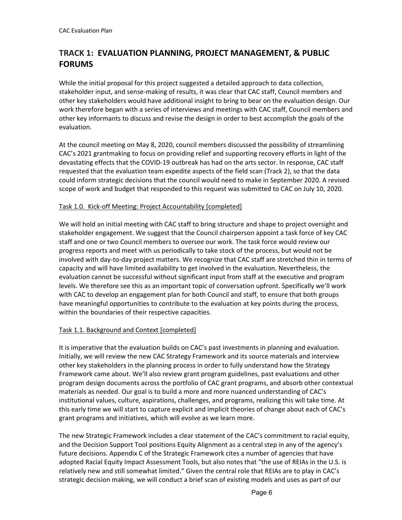# **TRACK 1: EVALUATION PLANNING, PROJECT MANAGEMENT, & PUBLIC FORUMS**

While the initial proposal for this project suggested a detailed approach to data collection, stakeholder input, and sense-making of results, it was clear that CAC staff, Council members and other key stakeholders would have additional insight to bring to bear on the evaluation design. Our work therefore began with a series of interviews and meetings with CAC staff, Council members and other key informants to discuss and revise the design in order to best accomplish the goals of the evaluation.

At the council meeting on May 8, 2020, council members discussed the possibility of streamlining CAC's 2021 grantmaking to focus on providing relief and supporting recovery efforts in light of the devastating effects that the COVID-19 outbreak has had on the arts sector. In response, CAC staff requested that the evaluation team expedite aspects of the field scan (Track 2), so that the data could inform strategic decisions that the council would need to make in September 2020. A revised scope of work and budget that responded to this request was submitted to CAC on July 10, 2020.

## Task 1.0. Kick-off Meeting: Project Accountability [completed]

We will hold an initial meeting with CAC staff to bring structure and shape to project oversight and stakeholder engagement. We suggest that the Council chairperson appoint a task force of key CAC staff and one or two Council members to oversee our work. The task force would review our progress reports and meet with us periodically to take stock of the process, but would not be involved with day-to-day project matters. We recognize that CAC staff are stretched thin in terms of capacity and will have limited availability to get involved in the evaluation. Nevertheless, the evaluation cannot be successful without significant input from staff at the executive and program levels. We therefore see this as an important topic of conversation upfront. Specifically we'll work with CAC to develop an engagement plan for both Council and staff, to ensure that both groups have meaningful opportunities to contribute to the evaluation at key points during the process, within the boundaries of their respective capacities.

## Task 1.1. Background and Context [completed]

It is imperative that the evaluation builds on CAC's past investments in planning and evaluation. Initially, we will review the new CAC Strategy Framework and its source materials and interview other key stakeholders in the planning process in order to fully understand how the Strategy Framework came about. We'll also review grant program guidelines, past evaluations and other program design documents across the portfolio of CAC grant programs, and absorb other contextual materials as needed. Our goal is to build a more and more nuanced understanding of CAC's institutional values, culture, aspirations, challenges, and programs, realizing this will take time. At this early time we will start to capture explicit and implicit theories of change about each of CAC's grant programs and initiatives, which will evolve as we learn more.

The new Strategic Framework includes a clear statement of the CAC's commitment to racial equity, and the Decision Support Tool positions Equity Alignment as a central step in any of the agency's future decisions. Appendix C of the Strategic Framework cites a number of agencies that have adopted Racial Equity Impact Assessment Tools, but also notes that "the use of REIAs in the U.S. is relatively new and still somewhat limited." Given the central role that REIAs are to play in CAC's strategic decision making, we will conduct a brief scan of existing models and uses as part of our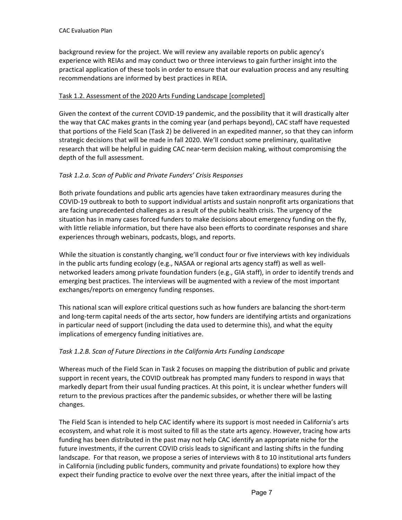background review for the project. We will review any available reports on public agency's experience with REIAs and may conduct two or three interviews to gain further insight into the practical application of these tools in order to ensure that our evaluation process and any resulting recommendations are informed by best practices in REIA.

## Task 1.2. Assessment of the 2020 Arts Funding Landscape [completed]

Given the context of the current COVID-19 pandemic, and the possibility that it will drastically alter the way that CAC makes grants in the coming year (and perhaps beyond), CAC staff have requested that portions of the Field Scan (Task 2) be delivered in an expedited manner, so that they can inform strategic decisions that will be made in fall 2020. We'll conduct some preliminary, qualitative research that will be helpful in guiding CAC near-term decision making, without compromising the depth of the full assessment.

## *Task 1.2.a. Scan of Public and Private Funders' Crisis Responses*

Both private foundations and public arts agencies have taken extraordinary measures during the COVID-19 outbreak to both to support individual artists and sustain nonprofit arts organizations that are facing unprecedented challenges as a result of the public health crisis. The urgency of the situation has in many cases forced funders to make decisions about emergency funding on the fly, with little reliable information, but there have also been efforts to coordinate responses and share experiences through webinars, podcasts, blogs, and reports.

While the situation is constantly changing, we'll conduct four or five interviews with key individuals in the public arts funding ecology (e.g., NASAA or regional arts agency staff) as well as wellnetworked leaders among private foundation funders (e.g., GIA staff), in order to identify trends and emerging best practices. The interviews will be augmented with a review of the most important exchanges/reports on emergency funding responses.

This national scan will explore critical questions such as how funders are balancing the short-term and long-term capital needs of the arts sector, how funders are identifying artists and organizations in particular need of support (including the data used to determine this), and what the equity implications of emergency funding initiatives are.

## *Task 1.2.B. Scan of Future Directions in the California Arts Funding Landscape*

Whereas much of the Field Scan in Task 2 focuses on mapping the distribution of public and private support in recent years, the COVID outbreak has prompted many funders to respond in ways that markedly depart from their usual funding practices. At this point, it is unclear whether funders will return to the previous practices after the pandemic subsides, or whether there will be lasting changes.

The Field Scan is intended to help CAC identify where its support is most needed in California's arts ecosystem, and what role it is most suited to fill as the state arts agency. However, tracing how arts funding has been distributed in the past may not help CAC identify an appropriate niche for the future investments, if the current COVID crisis leads to significant and lasting shifts in the funding landscape. For that reason, we propose a series of interviews with 8 to 10 institutional arts funders in California (including public funders, community and private foundations) to explore how they expect their funding practice to evolve over the next three years, after the initial impact of the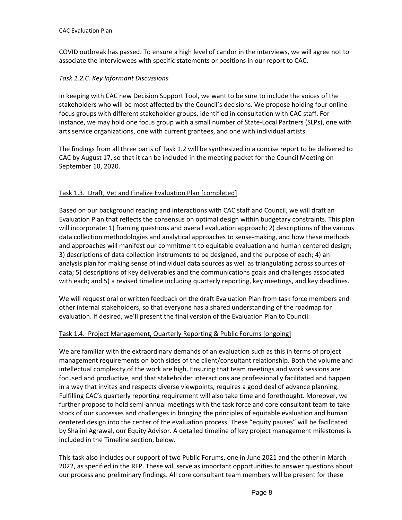COVID outbreak has passed. To ensure a high level of candor in the interviews, we will agree not to associate the interviewees with specific statements or positions in our report to CAC.

## *Task 1.2.C. Key Informant Discussions*

In keeping with CAC new Decision Support Tool, we want to be sure to include the voices of the stakeholders who will be most affected by the Council's decisions. We propose holding four online focus groups with different stakeholder groups, identified in consultation with CAC staff. For instance, we may hold one focus group with a small number of State-Local Partners (SLPs), one with arts service organizations, one with current grantees, and one with individual artists.

The findings from all three parts of Task 1.2 will be synthesized in a concise report to be delivered to CAC by August 17, so that it can be included in the meeting packet for the Council Meeting on September 10, 2020.

## Task 1.3. Draft, Vet and Finalize Evaluation Plan [completed]

Based on our background reading and interactions with CAC staff and Council, we will draft an Evaluation Plan that reflects the consensus on optimal design within budgetary constraints. This plan will incorporate: 1) framing questions and overall evaluation approach; 2) descriptions of the various data collection methodologies and analytical approaches to sense-making, and how these methods and approaches will manifest our commitment to equitable evaluation and human centered design; 3) descriptions of data collection instruments to be designed, and the purpose of each; 4) an analysis plan for making sense of individual data sources as well as triangulating across sources of data; 5) descriptions of key deliverables and the communications goals and challenges associated with each; and 5) a revised timeline including quarterly reporting, key meetings, and key deadlines.

We will request oral or written feedback on the draft Evaluation Plan from task force members and other internal stakeholders, so that everyone has a shared understanding of the roadmap for evaluation. If desired, we'll present the final version of the Evaluation Plan to Council.

## Task 1.4. Project Management, Quarterly Reporting & Public Forums [ongoing]

We are familiar with the extraordinary demands of an evaluation such as this in terms of project management requirements on both sides of the client/consultant relationship. Both the volume and intellectual complexity of the work are high. Ensuring that team meetings and work sessions are focused and productive, and that stakeholder interactions are professionally facilitated and happen in a way that invites and respects diverse viewpoints, requires a good deal of advance planning. Fulfilling CAC's quarterly reporting requirement will also take time and forethought. Moreover, we further propose to hold semi-annual meetings with the task force and core consultant team to take stock of our successes and challenges in bringing the principles of equitable evaluation and human centered design into the center of the evaluation process. These "equity pauses" will be facilitated by Shalini Agrawal, our Equity Advisor. A detailed timeline of key project management milestones is included in the Timeline section, below.

This task also includes our support of two Public Forums, one in June 2021 and the other in March 2022, as specified in the RFP. These will serve as important opportunities to answer questions about our process and preliminary findings. All core consultant team members will be present for these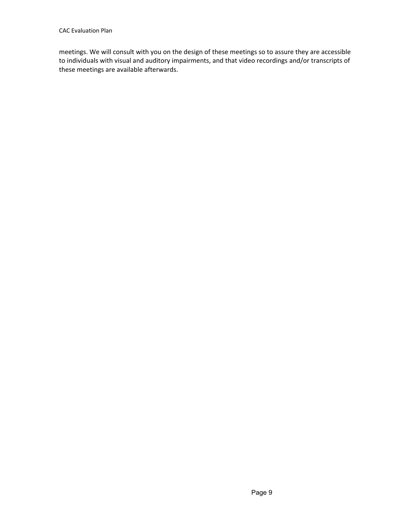meetings. We will consult with you on the design of these meetings so to assure they are accessible to individuals with visual and auditory impairments, and that video recordings and/or transcripts of these meetings are available afterwards.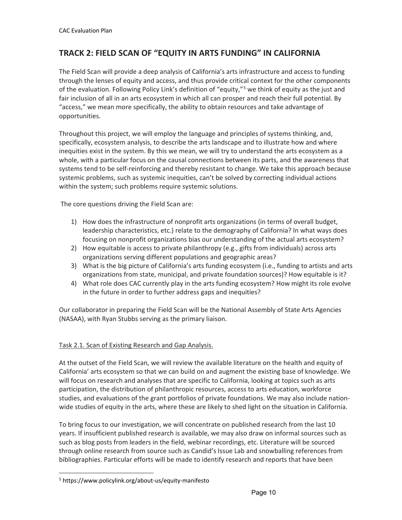# **TRACK 2: FIELD SCAN OF "EQUITY IN ARTS FUNDING" IN CALIFORNIA**

The Field Scan will provide a deep analysis of California's arts infrastructure and access to funding through the lenses of equity and access, and thus provide critical context for the other components of the evaluation. Following Policy Link's definition of "equity,"<sup>[5](#page-9-0)</sup> we think of equity as the just and fair inclusion of all in an arts ecosystem in which all can prosper and reach their full potential. By "access," we mean more specifically, the ability to obtain resources and take advantage of opportunities.

Throughout this project, we will employ the language and principles of systems thinking, and, specifically, ecosystem analysis, to describe the arts landscape and to illustrate how and where inequities exist in the system. By this we mean, we will try to understand the arts ecosystem as a whole, with a particular focus on the causal connections between its parts, and the awareness that systems tend to be self-reinforcing and thereby resistant to change. We take this approach because systemic problems, such as systemic inequities, can't be solved by correcting individual actions within the system; such problems require systemic solutions.

The core questions driving the Field Scan are:

- 1) How does the infrastructure of nonprofit arts organizations (in terms of overall budget, leadership characteristics, etc.) relate to the demography of California? In what ways does focusing on nonprofit organizations bias our understanding of the actual arts ecosystem?
- 2) How equitable is access to private philanthropy (e.g., gifts from individuals) across arts organizations serving different populations and geographic areas?
- 3) What is the big picture of California's arts funding ecosystem (i.e., funding to artists and arts organizations from state, municipal, and private foundation sources)? How equitable is it?
- 4) What role does CAC currently play in the arts funding ecosystem? How might its role evolve in the future in order to further address gaps and inequities?

Our collaborator in preparing the Field Scan will be the National Assembly of State Arts Agencies (NASAA), with Ryan Stubbs serving as the primary liaison.

## Task 2.1. Scan of Existing Research and Gap Analysis.

At the outset of the Field Scan, we will review the available literature on the health and equity of California' arts ecosystem so that we can build on and augment the existing base of knowledge. We will focus on research and analyses that are specific to California, looking at topics such as arts participation, the distribution of philanthropic resources, access to arts education, workforce studies, and evaluations of the grant portfolios of private foundations. We may also include nationwide studies of equity in the arts, where these are likely to shed light on the situation in California.

To bring focus to our investigation, we will concentrate on published research from the last 10 years. If insufficient published research is available, we may also draw on informal sources such as such as blog posts from leaders in the field, webinar recordings, etc. Literature will be sourced through online research from source such as Candid's Issue Lab and snowballing references from bibliographies. Particular efforts will be made to identify research and reports that have been

<span id="page-9-0"></span><sup>5</sup> https://www.policylink.org/about-us/equity-manifesto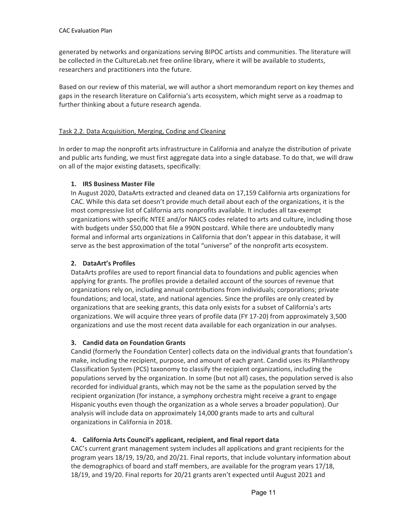generated by networks and organizations serving BIPOC artists and communities. The literature will be collected in the CultureLab.net free online library, where it will be available to students, researchers and practitioners into the future.

Based on our review of this material, we will author a short memorandum report on key themes and gaps in the research literature on California's arts ecosystem, which might serve as a roadmap to further thinking about a future research agenda.

## Task 2.2. Data Acquisition, Merging, Coding and Cleaning

In order to map the nonprofit arts infrastructure in California and analyze the distribution of private and public arts funding, we must first aggregate data into a single database. To do that, we will draw on all of the major existing datasets, specifically:

## **1. IRS Business Master File**

In August 2020, DataArts extracted and cleaned data on 17,159 California arts organizations for CAC. While this data set doesn't provide much detail about each of the organizations, it is the most compressive list of California arts nonprofits available. It includes all tax-exempt organizations with specific NTEE and/or NAICS codes related to arts and culture, including those with budgets under \$50,000 that file a 990N postcard. While there are undoubtedly many formal and informal arts organizations in California that don't appear in this database, it will serve as the best approximation of the total "universe" of the nonprofit arts ecosystem.

## **2. DataArt's Profiles**

DataArts profiles are used to report financial data to foundations and public agencies when applying for grants. The profiles provide a detailed account of the sources of revenue that organizations rely on, including annual contributions from individuals; corporations; private foundations; and local, state, and national agencies. Since the profiles are only created by organizations that are seeking grants, this data only exists for a subset of California's arts organizations. We will acquire three years of profile data (FY 17-20) from approximately 3,500 organizations and use the most recent data available for each organization in our analyses.

## **3. Candid data on Foundation Grants**

Candid (formerly the Foundation Center) collects data on the individual grants that foundation's make, including the recipient, purpose, and amount of each grant. Candid uses its Philanthropy Classification System (PCS) taxonomy to classify the recipient organizations, including the populations served by the organization. In some (but not all) cases, the population served is also recorded for individual grants, which may not be the same as the population served by the recipient organization (for instance, a symphony orchestra might receive a grant to engage Hispanic youths even though the organization as a whole serves a broader population). Our analysis will include data on approximately 14,000 grants made to arts and cultural organizations in California in 2018.

## **4. California Arts Council's applicant, recipient, and final report data**

CAC's current grant management system includes all applications and grant recipients for the program years 18/19, 19/20, and 20/21. Final reports, that include voluntary information about the demographics of board and staff members, are available for the program years 17/18, 18/19, and 19/20. Final reports for 20/21 grants aren't expected until August 2021 and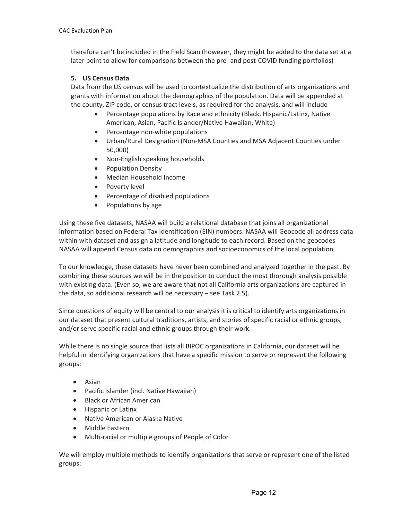therefore can't be included in the Field Scan (however, they might be added to the data set at a later point to allow for comparisons between the pre- and post-COVID funding portfolios)

#### **5. US Census Data**

Data from the US census will be used to contextualize the distribution of arts organizations and grants with information about the demographics of the population. Data will be appended at the county, ZIP code, or census tract levels, as required for the analysis, and will include

- Percentage populations by Race and ethnicity (Black, Hispanic/Latinx, Native American, Asian, Pacific Islander/Native Hawaiian, White)
- Percentage non-white populations
- Urban/Rural Designation (Non-MSA Counties and MSA Adjacent Counties under 50,000)
- Non-English speaking households
- Population Density
- Median Household Income
- Poverty level
- Percentage of disabled populations
- Populations by age

Using these five datasets, NASAA will build a relational database that joins all organizational information based on Federal Tax Identification (EIN) numbers. NASAA will Geocode all address data within with dataset and assign a latitude and longitude to each record. Based on the geocodes NASAA will append Census data on demographics and socioeconomics of the local population.

To our knowledge, these datasets have never been combined and analyzed together in the past. By combining these sources we will be in the position to conduct the most thorough analysis possible with existing data. (Even so, we are aware that not all California arts organizations are captured in the data, so additional research will be necessary – see Task 2.5).

Since questions of equity will be central to our analysis it is critical to identify arts organizations in our dataset that present cultural traditions, artists, and stories of specific racial or ethnic groups, and/or serve specific racial and ethnic groups through their work.

While there is no single source that lists all BIPOC organizations in California, our dataset will be helpful in identifying organizations that have a specific mission to serve or represent the following groups:

- Asian
- Pacific Islander (incl. Native Hawaiian)
- Black or African American
- Hispanic or Latinx
- Native American or Alaska Native
- Middle Eastern
- Multi-racial or multiple groups of People of Color

We will employ multiple methods to identify organizations that serve or represent one of the listed groups: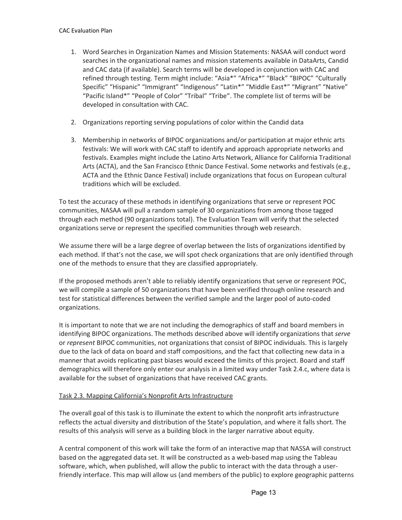- 1. Word Searches in Organization Names and Mission Statements: NASAA will conduct word searches in the organizational names and mission statements available in DataArts, Candid and CAC data (if available). Search terms will be developed in conjunction with CAC and refined through testing. Term might include: "Asia\*" "Africa\*" "Black" "BIPOC" "Culturally Specific" "Hispanic" "Immigrant" "Indigenous" "Latin\*" "Middle East\*" "Migrant" "Native" "Pacific Island\*" "People of Color" "Tribal" "Tribe". The complete list of terms will be developed in consultation with CAC.
- 2. Organizations reporting serving populations of color within the Candid data
- 3. Membership in networks of BIPOC organizations and/or participation at major ethnic arts festivals: We will work with CAC staff to identify and approach appropriate networks and festivals. Examples might include the Latino Arts Network, Alliance for California Traditional Arts (ACTA), and the San Francisco Ethnic Dance Festival. Some networks and festivals (e.g., ACTA and the Ethnic Dance Festival) include organizations that focus on European cultural traditions which will be excluded.

To test the accuracy of these methods in identifying organizations that serve or represent POC communities, NASAA will pull a random sample of 30 organizations from among those tagged through each method (90 organizations total). The Evaluation Team will verify that the selected organizations serve or represent the specified communities through web research.

We assume there will be a large degree of overlap between the lists of organizations identified by each method. If that's not the case, we will spot check organizations that are only identified through one of the methods to ensure that they are classified appropriately.

If the proposed methods aren't able to reliably identify organizations that serve or represent POC, we will compile a sample of 50 organizations that have been verified through online research and test for statistical differences between the verified sample and the larger pool of auto-coded organizations.

It is important to note that we are not including the demographics of staff and board members in identifying BIPOC organizations. The methods described above will identify organizations that *serve* or *represent* BIPOC communities, not organizations that consist of BIPOC individuals. This is largely due to the lack of data on board and staff compositions, and the fact that collecting new data in a manner that avoids replicating past biases would exceed the limits of this project. Board and staff demographics will therefore only enter our analysis in a limited way under Task 2.4.c, where data is available for the subset of organizations that have received CAC grants.

## Task 2.3. Mapping California's Nonprofit Arts Infrastructure

The overall goal of this task is to illuminate the extent to which the nonprofit arts infrastructure reflects the actual diversity and distribution of the State's population, and where it falls short. The results of this analysis will serve as a building block in the larger narrative about equity.

A central component of this work will take the form of an interactive map that NASSA will construct based on the aggregated data set. It will be constructed as a web-based map using the Tableau software, which, when published, will allow the public to interact with the data through a userfriendly interface. This map will allow us (and members of the public) to explore geographic patterns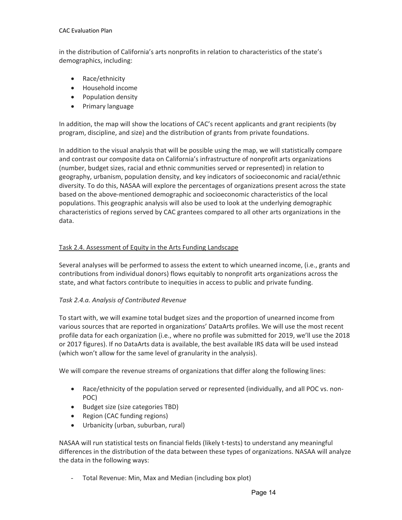in the distribution of California's arts nonprofits in relation to characteristics of the state's demographics, including:

- Race/ethnicity
- Household income
- Population density
- Primary language

In addition, the map will show the locations of CAC's recent applicants and grant recipients (by program, discipline, and size) and the distribution of grants from private foundations.

In addition to the visual analysis that will be possible using the map, we will statistically compare and contrast our composite data on California's infrastructure of nonprofit arts organizations (number, budget sizes, racial and ethnic communities served or represented) in relation to geography, urbanism, population density, and key indicators of socioeconomic and racial/ethnic diversity. To do this, NASAA will explore the percentages of organizations present across the state based on the above-mentioned demographic and socioeconomic characteristics of the local populations. This geographic analysis will also be used to look at the underlying demographic characteristics of regions served by CAC grantees compared to all other arts organizations in the data.

## Task 2.4. Assessment of Equity in the Arts Funding Landscape

Several analyses will be performed to assess the extent to which unearned income, (i.e., grants and contributions from individual donors) flows equitably to nonprofit arts organizations across the state, and what factors contribute to inequities in access to public and private funding.

## *Task 2.4.a. Analysis of Contributed Revenue*

To start with, we will examine total budget sizes and the proportion of unearned income from various sources that are reported in organizations' DataArts profiles. We will use the most recent profile data for each organization (i.e., where no profile was submitted for 2019, we'll use the 2018 or 2017 figures). If no DataArts data is available, the best available IRS data will be used instead (which won't allow for the same level of granularity in the analysis).

We will compare the revenue streams of organizations that differ along the following lines:

- Race/ethnicity of the population served or represented (individually, and all POC vs. non-POC)
- Budget size (size categories TBD)
- Region (CAC funding regions)
- Urbanicity (urban, suburban, rural)

NASAA will run statistical tests on financial fields (likely t-tests) to understand any meaningful differences in the distribution of the data between these types of organizations. NASAA will analyze the data in the following ways:

- Total Revenue: Min, Max and Median (including box plot)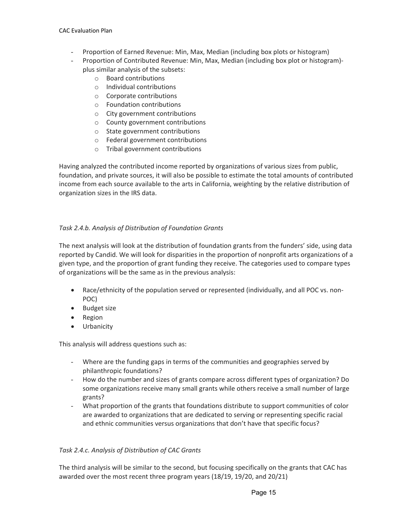- Proportion of Earned Revenue: Min, Max, Median (including box plots or histogram)
- Proportion of Contributed Revenue: Min, Max, Median (including box plot or histogram) plus similar analysis of the subsets:
	- o Board contributions
	- o Individual contributions
	- o Corporate contributions
	- o Foundation contributions
	- o City government contributions
	- o County government contributions
	- o State government contributions
	- o Federal government contributions
	- o Tribal government contributions

Having analyzed the contributed income reported by organizations of various sizes from public, foundation, and private sources, it will also be possible to estimate the total amounts of contributed income from each source available to the arts in California, weighting by the relative distribution of organization sizes in the IRS data.

## *Task 2.4.b. Analysis of Distribution of Foundation Grants*

The next analysis will look at the distribution of foundation grants from the funders' side, using data reported by Candid. We will look for disparities in the proportion of nonprofit arts organizations of a given type, and the proportion of grant funding they receive. The categories used to compare types of organizations will be the same as in the previous analysis:

- Race/ethnicity of the population served or represented (individually, and all POC vs. non-POC)
- Budget size
- Region
- Urbanicity

This analysis will address questions such as:

- Where are the funding gaps in terms of the communities and geographies served by philanthropic foundations?
- How do the number and sizes of grants compare across different types of organization? Do some organizations receive many small grants while others receive a small number of large grants?
- What proportion of the grants that foundations distribute to support communities of color are awarded to organizations that are dedicated to serving or representing specific racial and ethnic communities versus organizations that don't have that specific focus?

## *Task 2.4.c. Analysis of Distribution of CAC Grants*

The third analysis will be similar to the second, but focusing specifically on the grants that CAC has awarded over the most recent three program years (18/19, 19/20, and 20/21)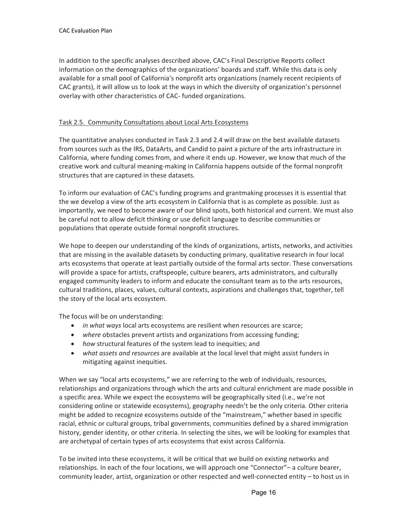In addition to the specific analyses described above, CAC's Final Descriptive Reports collect information on the demographics of the organizations' boards and staff. While this data is only available for a small pool of California's nonprofit arts organizations (namely recent recipients of CAC grants), it will allow us to look at the ways in which the diversity of organization's personnel overlay with other characteristics of CAC- funded organizations.

## Task 2.5. Community Consultations about Local Arts Ecosystems

The quantitative analyses conducted in Task 2.3 and 2.4 will draw on the best available datasets from sources such as the IRS, DataArts, and Candid to paint a picture of the arts infrastructure in California, where funding comes from, and where it ends up. However, we know that much of the creative work and cultural meaning-making in California happens outside of the formal nonprofit structures that are captured in these datasets.

To inform our evaluation of CAC's funding programs and grantmaking processes it is essential that the we develop a view of the arts ecosystem in California that is as complete as possible. Just as importantly, we need to become aware of our blind spots, both historical and current. We must also be careful not to allow deficit thinking or use deficit language to describe communities or populations that operate outside formal nonprofit structures.

We hope to deepen our understanding of the kinds of organizations, artists, networks, and activities that are missing in the available datasets by conducting primary, qualitative research in four local arts ecosystems that operate at least partially outside of the formal arts sector. These conversations will provide a space for artists, craftspeople, culture bearers, arts administrators, and culturally engaged community leaders to inform and educate the consultant team as to the arts resources, cultural traditions, places, values, cultural contexts, aspirations and challenges that, together, tell the story of the local arts ecosystem.

The focus will be on understanding:

- *in what ways* local arts ecosystems are resilient when resources are scarce;
- *where* obstacles prevent artists and organizations from accessing funding;
- *how* structural features of the system lead to inequities; and
- *what assets and resources* are available at the local level that might assist funders in mitigating against inequities.

When we say "local arts ecosystems," we are referring to the web of individuals, resources, relationships and organizations through which the arts and cultural enrichment are made possible in a specific area. While we expect the ecosystems will be geographically sited (i.e., we're not considering online or statewide ecosystems), geography needn't be the only criteria. Other criteria might be added to recognize ecosystems outside of the "mainstream," whether based in specific racial, ethnic or cultural groups, tribal governments, communities defined by a shared immigration history, gender identity, or other criteria. In selecting the sites, we will be looking for examples that are archetypal of certain types of arts ecosystems that exist across California.

To be invited into these ecosystems, it will be critical that we build on existing networks and relationships. In each of the four locations, we will approach one "Connector"– a culture bearer, community leader, artist, organization or other respected and well-connected entity – to host us in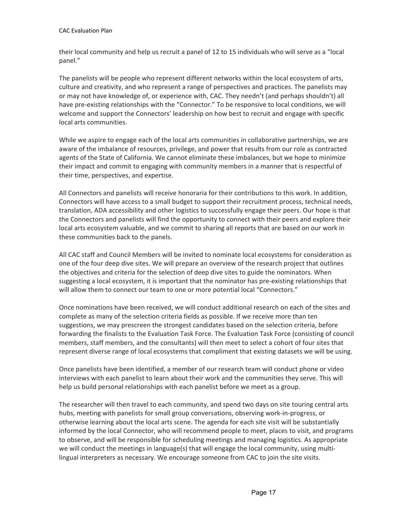their local community and help us recruit a panel of 12 to 15 individuals who will serve as a "local panel."

The panelists will be people who represent different networks within the local ecosystem of arts, culture and creativity, and who represent a range of perspectives and practices. The panelists may or may not have knowledge of, or experience with, CAC. They needn't (and perhaps shouldn't) all have pre-existing relationships with the "Connector." To be responsive to local conditions, we will welcome and support the Connectors' leadership on how best to recruit and engage with specific local arts communities.

While we aspire to engage each of the local arts communities in collaborative partnerships, we are aware of the imbalance of resources, privilege, and power that results from our role as contracted agents of the State of California. We cannot eliminate these imbalances, but we hope to minimize their impact and commit to engaging with community members in a manner that is respectful of their time, perspectives, and expertise.

All Connectors and panelists will receive honoraria for their contributions to this work. In addition, Connectors will have access to a small budget to support their recruitment process, technical needs, translation, ADA accessibility and other logistics to successfully engage their peers. Our hope is that the Connectors and panelists will find the opportunity to connect with their peers and explore their local arts ecosystem valuable, and we commit to sharing all reports that are based on our work in these communities back to the panels.

All CAC staff and Council Members will be invited to nominate local ecosystems for consideration as one of the four deep dive sites. We will prepare an overview of the research project that outlines the objectives and criteria for the selection of deep dive sites to guide the nominators. When suggesting a local ecosystem, it is important that the nominator has pre-existing relationships that will allow them to connect our team to one or more potential local "Connectors."

Once nominations have been received, we will conduct additional research on each of the sites and complete as many of the selection criteria fields as possible. If we receive more than ten suggestions, we may prescreen the strongest candidates based on the selection criteria, before forwarding the finalists to the Evaluation Task Force. The Evaluation Task Force (consisting of council members, staff members, and the consultants) will then meet to select a cohort of four sites that represent diverse range of local ecosystems that compliment that existing datasets we will be using.

Once panelists have been identified, a member of our research team will conduct phone or video interviews with each panelist to learn about their work and the communities they serve. This will help us build personal relationships with each panelist before we meet as a group.

The researcher will then travel to each community, and spend two days on site touring central arts hubs, meeting with panelists for small group conversations, observing work-in-progress, or otherwise learning about the local arts scene. The agenda for each site visit will be substantially informed by the local Connector, who will recommend people to meet, places to visit, and programs to observe, and will be responsible for scheduling meetings and managing logistics. As appropriate we will conduct the meetings in language(s) that will engage the local community, using multilingual interpreters as necessary. We encourage someone from CAC to join the site visits.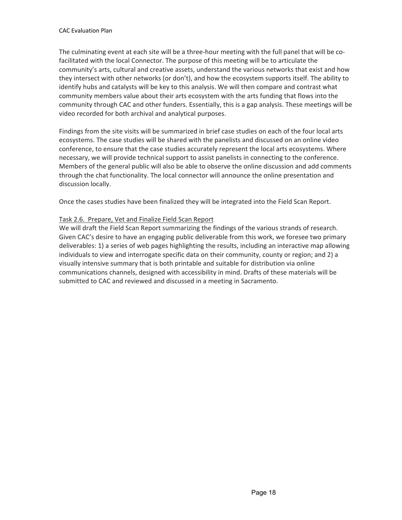The culminating event at each site will be a three-hour meeting with the full panel that will be cofacilitated with the local Connector. The purpose of this meeting will be to articulate the community's arts, cultural and creative assets, understand the various networks that exist and how they intersect with other networks (or don't), and how the ecosystem supports itself. The ability to identify hubs and catalysts will be key to this analysis. We will then compare and contrast what community members value about their arts ecosystem with the arts funding that flows into the community through CAC and other funders. Essentially, this is a gap analysis. These meetings will be video recorded for both archival and analytical purposes.

Findings from the site visits will be summarized in brief case studies on each of the four local arts ecosystems. The case studies will be shared with the panelists and discussed on an online video conference, to ensure that the case studies accurately represent the local arts ecosystems. Where necessary, we will provide technical support to assist panelists in connecting to the conference. Members of the general public will also be able to observe the online discussion and add comments through the chat functionality. The local connector will announce the online presentation and discussion locally.

Once the cases studies have been finalized they will be integrated into the Field Scan Report.

## Task 2.6. Prepare, Vet and Finalize Field Scan Report

We will draft the Field Scan Report summarizing the findings of the various strands of research. Given CAC's desire to have an engaging public deliverable from this work, we foresee two primary deliverables: 1) a series of web pages highlighting the results, including an interactive map allowing individuals to view and interrogate specific data on their community, county or region; and 2) a visually intensive summary that is both printable and suitable for distribution via online communications channels, designed with accessibility in mind. Drafts of these materials will be submitted to CAC and reviewed and discussed in a meeting in Sacramento.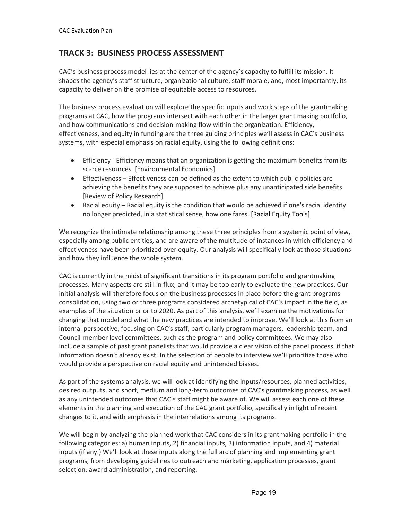## **TRACK 3: BUSINESS PROCESS ASSESSMENT**

CAC's business process model lies at the center of the agency's capacity to fulfill its mission. It shapes the agency's staff structure, organizational culture, staff morale, and, most importantly, its capacity to deliver on the promise of equitable access to resources.

The business process evaluation will explore the specific inputs and work steps of the grantmaking programs at CAC, how the programs intersect with each other in the larger grant making portfolio, and how communications and decision-making flow within the organization. Efficiency, effectiveness, and equity in funding are the three guiding principles we'll assess in CAC's business systems, with especial emphasis on racial equity, using the following definitions:

- Efficiency Efficiency means that an organization is getting the maximum benefits from its scarce resources. [Environmental Economics]
- Effectiveness Effectiveness can be defined as the extent to which public policies are achieving the benefits they are supposed to achieve plus any unanticipated side benefits. [Review of Policy Research]
- Racial equity Racial equity is the condition that would be achieved if one's racial identity no longer predicted, in a statistical sense, how one fares. [Racial Equity Tools]

We recognize the intimate relationship among these three principles from a systemic point of view, especially among public entities, and are aware of the multitude of instances in which efficiency and effectiveness have been prioritized over equity. Our analysis will specifically look at those situations and how they influence the whole system.

CAC is currently in the midst of significant transitions in its program portfolio and grantmaking processes. Many aspects are still in flux, and it may be too early to evaluate the new practices. Our initial analysis will therefore focus on the business processes in place before the grant programs consolidation, using two or three programs considered archetypical of CAC's impact in the field, as examples of the situation prior to 2020. As part of this analysis, we'll examine the motivations for changing that model and what the new practices are intended to improve. We'll look at this from an internal perspective, focusing on CAC's staff, particularly program managers, leadership team, and Council-member level committees, such as the program and policy committees. We may also include a sample of past grant panelists that would provide a clear vision of the panel process, if that information doesn't already exist. In the selection of people to interview we'll prioritize those who would provide a perspective on racial equity and unintended biases.

As part of the systems analysis, we will look at identifying the inputs/resources, planned activities, desired outputs, and short, medium and long-term outcomes of CAC's grantmaking process, as well as any unintended outcomes that CAC's staff might be aware of. We will assess each one of these elements in the planning and execution of the CAC grant portfolio, specifically in light of recent changes to it, and with emphasis in the interrelations among its programs.

We will begin by analyzing the planned work that CAC considers in its grantmaking portfolio in the following categories: a) human inputs, 2) financial inputs, 3) information inputs, and 4) material inputs (if any.) We'll look at these inputs along the full arc of planning and implementing grant programs, from developing guidelines to outreach and marketing, application processes, grant selection, award administration, and reporting.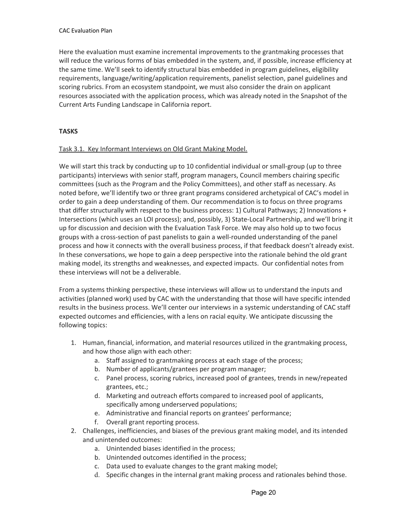Here the evaluation must examine incremental improvements to the grantmaking processes that will reduce the various forms of bias embedded in the system, and, if possible, increase efficiency at the same time. We'll seek to identify structural bias embedded in program guidelines, eligibility requirements, language/writing/application requirements, panelist selection, panel guidelines and scoring rubrics. From an ecosystem standpoint, we must also consider the drain on applicant resources associated with the application process, which was already noted in the Snapshot of the Current Arts Funding Landscape in California report.

## **TASKS**

## Task 3.1. Key Informant Interviews on Old Grant Making Model.

We will start this track by conducting up to 10 confidential individual or small-group (up to three participants) interviews with senior staff, program managers, Council members chairing specific committees (such as the Program and the Policy Committees), and other staff as necessary. As noted before, we'll identify two or three grant programs considered archetypical of CAC's model in order to gain a deep understanding of them. Our recommendation is to focus on three programs that differ structurally with respect to the business process: 1) Cultural Pathways; 2) Innovations + Intersections (which uses an LOI process); and, possibly, 3) State-Local Partnership, and we'll bring it up for discussion and decision with the Evaluation Task Force. We may also hold up to two focus groups with a cross-section of past panelists to gain a well-rounded understanding of the panel process and how it connects with the overall business process, if that feedback doesn't already exist. In these conversations, we hope to gain a deep perspective into the rationale behind the old grant making model, its strengths and weaknesses, and expected impacts. Our confidential notes from these interviews will not be a deliverable.

From a systems thinking perspective, these interviews will allow us to understand the inputs and activities (planned work) used by CAC with the understanding that those will have specific intended results in the business process. We'll center our interviews in a systemic understanding of CAC staff expected outcomes and efficiencies, with a lens on racial equity. We anticipate discussing the following topics:

- 1. Human, financial, information, and material resources utilized in the grantmaking process, and how those align with each other:
	- a. Staff assigned to grantmaking process at each stage of the process;
	- b. Number of applicants/grantees per program manager;
	- c. Panel process, scoring rubrics, increased pool of grantees, trends in new/repeated grantees, etc.;
	- d. Marketing and outreach efforts compared to increased pool of applicants, specifically among underserved populations;
	- e. Administrative and financial reports on grantees' performance;
	- f. Overall grant reporting process.
- 2. Challenges, inefficiencies, and biases of the previous grant making model, and its intended and unintended outcomes:
	- a. Unintended biases identified in the process;
	- b. Unintended outcomes identified in the process;
	- c. Data used to evaluate changes to the grant making model;
	- d. Specific changes in the internal grant making process and rationales behind those.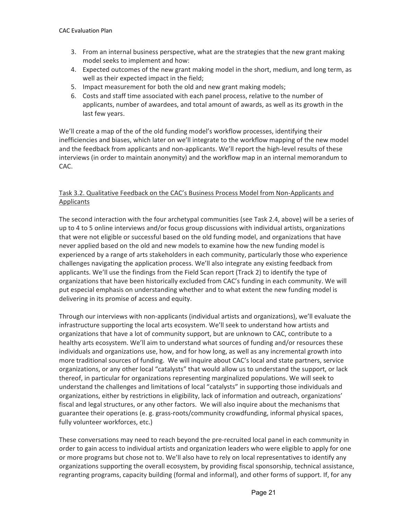- 3. From an internal business perspective, what are the strategies that the new grant making model seeks to implement and how:
- 4. Expected outcomes of the new grant making model in the short, medium, and long term, as well as their expected impact in the field;
- 5. Impact measurement for both the old and new grant making models;
- 6. Costs and staff time associated with each panel process, relative to the number of applicants, number of awardees, and total amount of awards, as well as its growth in the last few years.

We'll create a map of the of the old funding model's workflow processes, identifying their inefficiencies and biases, which later on we'll integrate to the workflow mapping of the new model and the feedback from applicants and non-applicants. We'll report the high-level results of these interviews (in order to maintain anonymity) and the workflow map in an internal memorandum to CAC.

## Task 3.2. Qualitative Feedback on the CAC's Business Process Model from Non-Applicants and Applicants

The second interaction with the four archetypal communities (see Task 2.4, above) will be a series of up to 4 to 5 online interviews and/or focus group discussions with individual artists, organizations that were not eligible or successful based on the old funding model, and organizations that have never applied based on the old and new models to examine how the new funding model is experienced by a range of arts stakeholders in each community, particularly those who experience challenges navigating the application process. We'll also integrate any existing feedback from applicants. We'll use the findings from the Field Scan report (Track 2) to identify the type of organizations that have been historically excluded from CAC's funding in each community. We will put especial emphasis on understanding whether and to what extent the new funding model is delivering in its promise of access and equity.

Through our interviews with non-applicants (individual artists and organizations), we'll evaluate the infrastructure supporting the local arts ecosystem. We'll seek to understand how artists and organizations that have a lot of community support, but are unknown to CAC, contribute to a healthy arts ecosystem. We'll aim to understand what sources of funding and/or resources these individuals and organizations use, how, and for how long, as well as any incremental growth into more traditional sources of funding. We will inquire about CAC's local and state partners, service organizations, or any other local "catalysts" that would allow us to understand the support, or lack thereof, in particular for organizations representing marginalized populations. We will seek to understand the challenges and limitations of local "catalysts" in supporting those individuals and organizations, either by restrictions in eligibility, lack of information and outreach, organizations' fiscal and legal structures, or any other factors. We will also inquire about the mechanisms that guarantee their operations (e. g. grass-roots/community crowdfunding, informal physical spaces, fully volunteer workforces, etc.)

These conversations may need to reach beyond the pre-recruited local panel in each community in order to gain access to individual artists and organization leaders who were eligible to apply for one or more programs but chose not to. We'll also have to rely on local representatives to identify any organizations supporting the overall ecosystem, by providing fiscal sponsorship, technical assistance, regranting programs, capacity building (formal and informal), and other forms of support. If, for any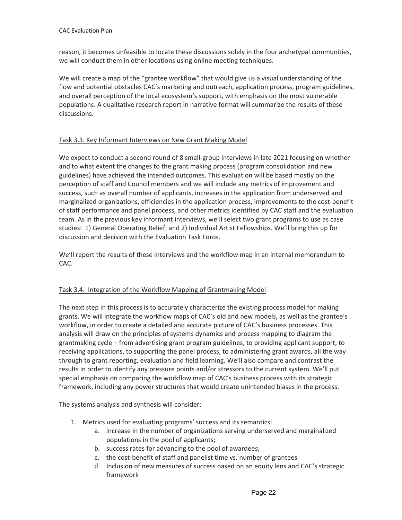reason, it becomes unfeasible to locate these discussions solely in the four archetypal communities, we will conduct them in other locations using online meeting techniques.

We will create a map of the "grantee workflow" that would give us a visual understanding of the flow and potential obstacles CAC's marketing and outreach, application process, program guidelines, and overall perception of the local ecosystem's support, with emphasis on the most vulnerable populations. A qualitative research report in narrative format will summarize the results of these discussions.

## Task 3.3. Key Informant Interviews on New Grant Making Model

We expect to conduct a second round of 8 small-group interviews in late 2021 focusing on whether and to what extent the changes to the grant making process (program consolidation and new guidelines) have achieved the intended outcomes. This evaluation will be based mostly on the perception of staff and Council members and we will include any metrics of improvement and success, such as overall number of applicants, increases in the application from underserved and marginalized organizations, efficiencies in the application process, improvements to the cost-benefit of staff performance and panel process, and other metrics identified by CAC staff and the evaluation team. As in the previous key informant interviews, we'll select two grant programs to use as case studies: 1) General Operating Relief; and 2) Individual Artist Fellowships. We'll bring this up for discussion and decision with the Evaluation Task Force.

We'll report the results of these interviews and the workflow map in an internal memorandum to CAC.

## Task 3.4. Integration of the Workflow Mapping of Grantmaking Model

The next step in this process is to accurately characterize the existing process model for making grants. We will integrate the workflow maps of CAC's old and new models, as well as the grantee's workflow, in order to create a detailed and accurate picture of CAC's business processes. This analysis will draw on the principles of systems dynamics and process mapping to diagram the grantmaking cycle – from advertising grant program guidelines, to providing applicant support, to receiving applications, to supporting the panel process, to administering grant awards, all the way through to grant reporting, evaluation and field learning. We'll also compare and contrast the results in order to identify any pressure points and/or stressors to the current system. We'll put special emphasis on comparing the workflow map of CAC's business process with its strategic framework, including any power structures that would create unintended biases in the process.

The systems analysis and synthesis will consider:

- 1. Metrics used for evaluating programs' success and its semantics;
	- a. increase in the number of organizations serving underserved and marginalized populations in the pool of applicants;
	- b. success rates for advancing to the pool of awardees;
	- c. the cost-benefit of staff and panelist time vs. number of grantees
	- d. Inclusion of new measures of success based on an equity lens and CAC's strategic framework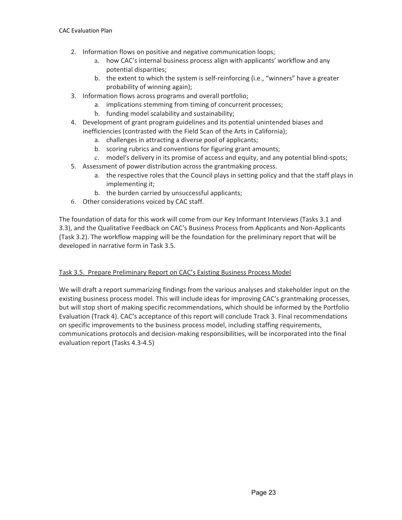- 2. Information flows on positive and negative communication loops;
	- a. how CAC's internal business process align with applicants' workflow and any potential disparities;
	- b. the extent to which the system is self-reinforcing (i.e., "winners" have a greater probability of winning again);
- 3. Information flows across programs and overall portfolio;
	- a. implications stemming from timing of concurrent processes;
		- b. funding model scalability and sustainability;
- 4. Development of grant program guidelines and its potential unintended biases and inefficiencies (contrasted with the Field Scan of the Arts in California);
	- a. challenges in attracting a diverse pool of applicants;
	- b. scoring rubrics and conventions for figuring grant amounts;
	- c. model's delivery in its promise of access and equity, and any potential blind-spots;
- 5. Assessment of power distribution across the grantmaking process.
	- a. the respective roles that the Council plays in setting policy and that the staff plays in implementing it;
	- b. the burden carried by unsuccessful applicants;
- 6. Other considerations voiced by CAC staff.

The foundation of data for this work will come from our Key Informant Interviews (Tasks 3.1 and 3.3), and the Qualitative Feedback on CAC's Business Process from Applicants and Non-Applicants (Task 3.2). The workflow mapping will be the foundation for the preliminary report that will be developed in narrative form in Task 3.5.

## Task 3.5. Prepare Preliminary Report on CAC's Existing Business Process Model

We will draft a report summarizing findings from the various analyses and stakeholder input on the existing business process model. This will include ideas for improving CAC's grantmaking processes, but will stop short of making specific recommendations, which should be informed by the Portfolio Evaluation (Track 4). CAC's acceptance of this report will conclude Track 3. Final recommendations on specific improvements to the business process model, including staffing requirements, communications protocols and decision-making responsibilities, will be incorporated into the final evaluation report (Tasks 4.3-4.5)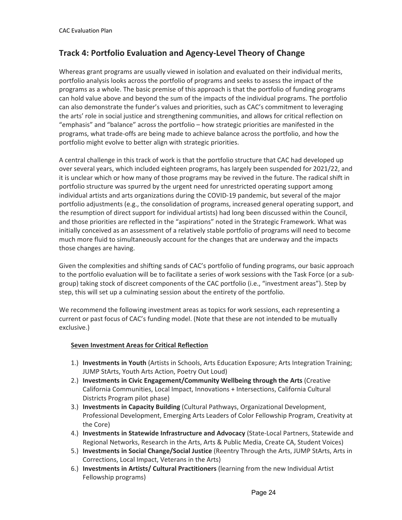# **Track 4: Portfolio Evaluation and Agency-Level Theory of Change**

Whereas grant programs are usually viewed in isolation and evaluated on their individual merits, portfolio analysis looks across the portfolio of programs and seeks to assess the impact of the programs as a whole. The basic premise of this approach is that the portfolio of funding programs can hold value above and beyond the sum of the impacts of the individual programs. The portfolio can also demonstrate the funder's values and priorities, such as CAC's commitment to leveraging the arts' role in social justice and strengthening communities, and allows for critical reflection on "emphasis" and "balance" across the portfolio – how strategic priorities are manifested in the programs, what trade-offs are being made to achieve balance across the portfolio, and how the portfolio might evolve to better align with strategic priorities.

A central challenge in this track of work is that the portfolio structure that CAC had developed up over several years, which included eighteen programs, has largely been suspended for 2021/22, and it is unclear which or how many of those programs may be revived in the future. The radical shift in portfolio structure was spurred by the urgent need for unrestricted operating support among individual artists and arts organizations during the COVID-19 pandemic, but several of the major portfolio adjustments (e.g., the consolidation of programs, increased general operating support, and the resumption of direct support for individual artists) had long been discussed within the Council, and those priorities are reflected in the "aspirations" noted in the Strategic Framework. What was initially conceived as an assessment of a relatively stable portfolio of programs will need to become much more fluid to simultaneously account for the changes that are underway and the impacts those changes are having.

Given the complexities and shifting sands of CAC's portfolio of funding programs, our basic approach to the portfolio evaluation will be to facilitate a series of work sessions with the Task Force (or a subgroup) taking stock of discreet components of the CAC portfolio (i.e., "investment areas"). Step by step, this will set up a culminating session about the entirety of the portfolio.

We recommend the following investment areas as topics for work sessions, each representing a current or past focus of CAC's funding model. (Note that these are not intended to be mutually exclusive.)

## **Seven Investment Areas for Critical Reflection**

- 1.) **Investments in Youth** (Artists in Schools, Arts Education Exposure; Arts Integration Training; JUMP StArts, Youth Arts Action, Poetry Out Loud)
- 2.) **Investments in Civic Engagement/Community Wellbeing through the Arts** (Creative California Communities, Local Impact, Innovations + Intersections, California Cultural Districts Program pilot phase)
- 3.) **Investments in Capacity Building** (Cultural Pathways, Organizational Development, Professional Development, Emerging Arts Leaders of Color Fellowship Program, Creativity at the Core)
- 4.) **Investments in Statewide Infrastructure and Advocacy** (State-Local Partners, Statewide and Regional Networks, Research in the Arts, Arts & Public Media, Create CA, Student Voices)
- 5.) **Investments in Social Change/Social Justice** (Reentry Through the Arts, JUMP StArts, Arts in Corrections, Local Impact, Veterans in the Arts)
- 6.) **Investments in Artists/ Cultural Practitioners** (learning from the new Individual Artist Fellowship programs)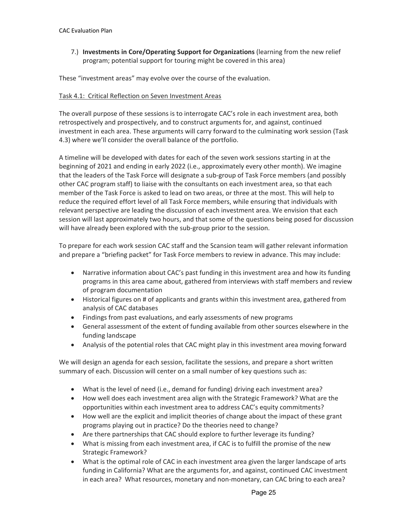7.) **Investments in Core/Operating Support for Organizations** (learning from the new relief program; potential support for touring might be covered in this area)

These "investment areas" may evolve over the course of the evaluation.

#### Task 4.1: Critical Reflection on Seven Investment Areas

The overall purpose of these sessions is to interrogate CAC's role in each investment area, both retrospectively and prospectively, and to construct arguments for, and against, continued investment in each area. These arguments will carry forward to the culminating work session (Task 4.3) where we'll consider the overall balance of the portfolio.

A timeline will be developed with dates for each of the seven work sessions starting in at the beginning of 2021 and ending in early 2022 (i.e., approximately every other month). We imagine that the leaders of the Task Force will designate a sub-group of Task Force members (and possibly other CAC program staff) to liaise with the consultants on each investment area, so that each member of the Task Force is asked to lead on two areas, or three at the most. This will help to reduce the required effort level of all Task Force members, while ensuring that individuals with relevant perspective are leading the discussion of each investment area. We envision that each session will last approximately two hours, and that some of the questions being posed for discussion will have already been explored with the sub-group prior to the session.

To prepare for each work session CAC staff and the Scansion team will gather relevant information and prepare a "briefing packet" for Task Force members to review in advance. This may include:

- Narrative information about CAC's past funding in this investment area and how its funding programs in this area came about, gathered from interviews with staff members and review of program documentation
- Historical figures on # of applicants and grants within this investment area, gathered from analysis of CAC databases
- Findings from past evaluations, and early assessments of new programs
- General assessment of the extent of funding available from other sources elsewhere in the funding landscape
- Analysis of the potential roles that CAC might play in this investment area moving forward

We will design an agenda for each session, facilitate the sessions, and prepare a short written summary of each. Discussion will center on a small number of key questions such as:

- What is the level of need (i.e., demand for funding) driving each investment area?
- How well does each investment area align with the Strategic Framework? What are the opportunities within each investment area to address CAC's equity commitments?
- How well are the explicit and implicit theories of change about the impact of these grant programs playing out in practice? Do the theories need to change?
- Are there partnerships that CAC should explore to further leverage its funding?
- What is missing from each investment area, if CAC is to fulfill the promise of the new Strategic Framework?
- What is the optimal role of CAC in each investment area given the larger landscape of arts funding in California? What are the arguments for, and against, continued CAC investment in each area? What resources, monetary and non-monetary, can CAC bring to each area?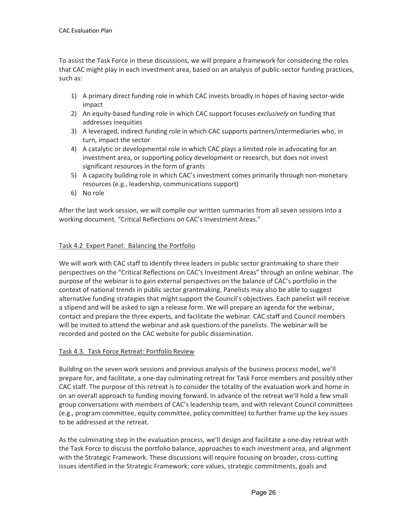To assist the Task Force in these discussions, we will prepare a framework for considering the roles that CAC might play in each investment area, based on an analysis of public-sector funding practices, such as:

- 1) A primary direct funding role in which CAC invests broadly in hopes of having sector-wide impact
- 2) An equity-based funding role in which CAC support focuses *exclusively* on funding that addresses inequities
- 3) A leveraged, indirect funding role in which CAC supports partners/intermediaries who, in turn, impact the sector
- 4) A catalytic or developmental role in which CAC plays a limited role in advocating for an investment area, or supporting policy development or research, but does not invest significant resources in the form of grants
- 5) A capacity building role in which CAC's investment comes primarily through non-monetary resources (e.g., leadership, communications support)
- 6) No role

After the last work session, we will compile our written summaries from all seven sessions into a working document, "Critical Reflections on CAC's Investment Areas."

## Task 4.2 Expert Panel: Balancing the Portfolio

We will work with CAC staff to identify three leaders in public sector grantmaking to share their perspectives on the "Critical Reflections on CAC's Investment Areas" through an online webinar. The purpose of the webinar is to gain external perspectives on the balance of CAC's portfolio in the context of national trends in public sector grantmaking. Panelists may also be able to suggest alternative funding strategies that might support the Council's objectives. Each panelist will receive a stipend and will be asked to sign a release form. We will prepare an agenda for the webinar, contact and prepare the three experts, and facilitate the webinar. CAC staff and Council members will be invited to attend the webinar and ask questions of the panelists. The webinar will be recorded and posted on the CAC website for public dissemination.

## Task 4.3. Task Force Retreat: Portfolio Review

Building on the seven work sessions and previous analysis of the business process model, we'll prepare for, and facilitate, a one-day culminating retreat for Task Force members and possibly other CAC staff. The purpose of this retreat is to consider the totality of the evaluation work and home in on an overall approach to funding moving forward. In advance of the retreat we'll hold a few small group conversations with members of CAC's leadership team, and with relevant Council committees (e.g., program committee, equity committee, policy committee) to further frame up the key issues to be addressed at the retreat.

As the culminating step in the evaluation process, we'll design and facilitate a one-day retreat with the Task Force to discuss the portfolio balance, approaches to each investment area, and alignment with the Strategic Framework. These discussions will require focusing on broader, cross-cutting issues identified in the Strategic Framework: core values, strategic commitments, goals and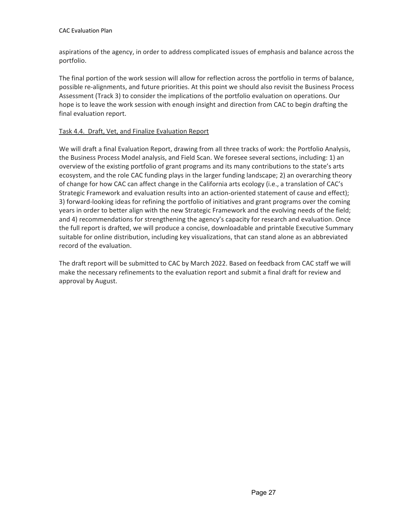aspirations of the agency, in order to address complicated issues of emphasis and balance across the portfolio.

The final portion of the work session will allow for reflection across the portfolio in terms of balance, possible re-alignments, and future priorities. At this point we should also revisit the Business Process Assessment (Track 3) to consider the implications of the portfolio evaluation on operations. Our hope is to leave the work session with enough insight and direction from CAC to begin drafting the final evaluation report.

## Task 4.4. Draft, Vet, and Finalize Evaluation Report

We will draft a final Evaluation Report, drawing from all three tracks of work: the Portfolio Analysis, the Business Process Model analysis, and Field Scan. We foresee several sections, including: 1) an overview of the existing portfolio of grant programs and its many contributions to the state's arts ecosystem, and the role CAC funding plays in the larger funding landscape; 2) an overarching theory of change for how CAC can affect change in the California arts ecology (i.e., a translation of CAC's Strategic Framework and evaluation results into an action-oriented statement of cause and effect); 3) forward-looking ideas for refining the portfolio of initiatives and grant programs over the coming years in order to better align with the new Strategic Framework and the evolving needs of the field; and 4) recommendations for strengthening the agency's capacity for research and evaluation. Once the full report is drafted, we will produce a concise, downloadable and printable Executive Summary suitable for online distribution, including key visualizations, that can stand alone as an abbreviated record of the evaluation.

The draft report will be submitted to CAC by March 2022. Based on feedback from CAC staff we will make the necessary refinements to the evaluation report and submit a final draft for review and approval by August.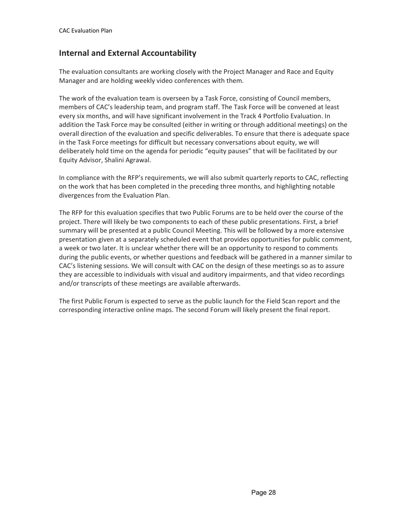# **Internal and External Accountability**

The evaluation consultants are working closely with the Project Manager and Race and Equity Manager and are holding weekly video conferences with them.

The work of the evaluation team is overseen by a Task Force, consisting of Council members, members of CAC's leadership team, and program staff. The Task Force will be convened at least every six months, and will have significant involvement in the Track 4 Portfolio Evaluation. In addition the Task Force may be consulted (either in writing or through additional meetings) on the overall direction of the evaluation and specific deliverables. To ensure that there is adequate space in the Task Force meetings for difficult but necessary conversations about equity, we will deliberately hold time on the agenda for periodic "equity pauses" that will be facilitated by our Equity Advisor, Shalini Agrawal.

In compliance with the RFP's requirements, we will also submit quarterly reports to CAC, reflecting on the work that has been completed in the preceding three months, and highlighting notable divergences from the Evaluation Plan.

The RFP for this evaluation specifies that two Public Forums are to be held over the course of the project. There will likely be two components to each of these public presentations. First, a brief summary will be presented at a public Council Meeting. This will be followed by a more extensive presentation given at a separately scheduled event that provides opportunities for public comment, a week or two later. It is unclear whether there will be an opportunity to respond to comments during the public events, or whether questions and feedback will be gathered in a manner similar to CAC's listening sessions. We will consult with CAC on the design of these meetings so as to assure they are accessible to individuals with visual and auditory impairments, and that video recordings and/or transcripts of these meetings are available afterwards.

The first Public Forum is expected to serve as the public launch for the Field Scan report and the corresponding interactive online maps. The second Forum will likely present the final report.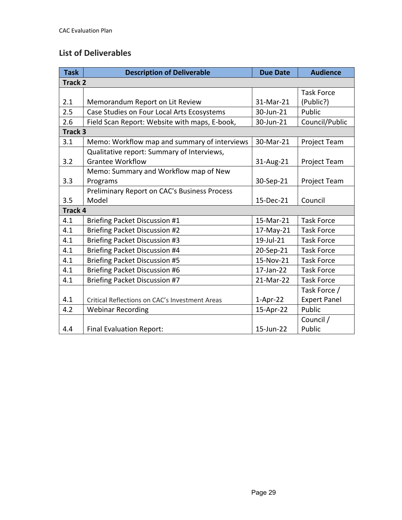# **List of Deliverables**

| <b>Task</b>        | <b>Description of Deliverable</b>              | <b>Due Date</b> | <b>Audience</b>     |  |  |
|--------------------|------------------------------------------------|-----------------|---------------------|--|--|
| Track <sub>2</sub> |                                                |                 |                     |  |  |
|                    |                                                |                 | <b>Task Force</b>   |  |  |
| 2.1                | Memorandum Report on Lit Review                | 31-Mar-21       | (Public?)           |  |  |
| 2.5                | Case Studies on Four Local Arts Ecosystems     | 30-Jun-21       | Public              |  |  |
| 2.6                | Field Scan Report: Website with maps, E-book,  | 30-Jun-21       | Council/Public      |  |  |
| Track 3            |                                                |                 |                     |  |  |
| 3.1                | Memo: Workflow map and summary of interviews   | 30-Mar-21       | <b>Project Team</b> |  |  |
|                    | Qualitative report: Summary of Interviews,     |                 |                     |  |  |
| 3.2                | <b>Grantee Workflow</b>                        | 31-Aug-21       | Project Team        |  |  |
|                    | Memo: Summary and Workflow map of New          |                 |                     |  |  |
| 3.3                | Programs                                       | 30-Sep-21       | Project Team        |  |  |
|                    | Preliminary Report on CAC's Business Process   |                 |                     |  |  |
| 3.5                | Model                                          | 15-Dec-21       | Council             |  |  |
| Track 4            |                                                |                 |                     |  |  |
| 4.1                | <b>Briefing Packet Discussion #1</b>           | 15-Mar-21       | <b>Task Force</b>   |  |  |
| 4.1                | <b>Briefing Packet Discussion #2</b>           | 17-May-21       | <b>Task Force</b>   |  |  |
| 4.1                | <b>Briefing Packet Discussion #3</b>           | 19-Jul-21       | <b>Task Force</b>   |  |  |
| 4.1                | <b>Briefing Packet Discussion #4</b>           | 20-Sep-21       | <b>Task Force</b>   |  |  |
| 4.1                | <b>Briefing Packet Discussion #5</b>           | 15-Nov-21       | <b>Task Force</b>   |  |  |
| 4.1                | <b>Briefing Packet Discussion #6</b>           | 17-Jan-22       | <b>Task Force</b>   |  |  |
| 4.1                | <b>Briefing Packet Discussion #7</b>           | 21-Mar-22       | <b>Task Force</b>   |  |  |
|                    |                                                |                 | Task Force /        |  |  |
| 4.1                | Critical Reflections on CAC's Investment Areas | $1-Apr-22$      | <b>Expert Panel</b> |  |  |
| 4.2                | <b>Webinar Recording</b>                       | 15-Apr-22       | Public              |  |  |
|                    |                                                |                 | Council /           |  |  |
| 4.4                | <b>Final Evaluation Report:</b>                | 15-Jun-22       | Public              |  |  |